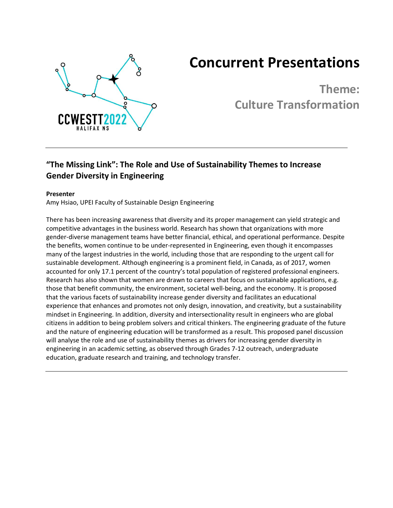

# **Concurrent Presentations**

**Theme: Culture Transformation**

# **"The Missing Link": The Role and Use of Sustainability Themes to Increase Gender Diversity in Engineering**

### **Presenter**

Amy Hsiao, UPEI Faculty of Sustainable Design Engineering

There has been increasing awareness that diversity and its proper management can yield strategic and competitive advantages in the business world. Research has shown that organizations with more gender-diverse management teams have better financial, ethical, and operational performance. Despite the benefits, women continue to be under-represented in Engineering, even though it encompasses many of the largest industries in the world, including those that are responding to the urgent call for sustainable development. Although engineering is a prominent field, in Canada, as of 2017, women accounted for only 17.1 percent of the country's total population of registered professional engineers. Research has also shown that women are drawn to careers that focus on sustainable applications, e.g. those that benefit community, the environment, societal well-being, and the economy. It is proposed that the various facets of sustainability increase gender diversity and facilitates an educational experience that enhances and promotes not only design, innovation, and creativity, but a sustainability mindset in Engineering. In addition, diversity and intersectionality result in engineers who are global citizens in addition to being problem solvers and critical thinkers. The engineering graduate of the future and the nature of engineering education will be transformed as a result. This proposed panel discussion will analyse the role and use of sustainability themes as drivers for increasing gender diversity in engineering in an academic setting, as observed through Grades 7-12 outreach, undergraduate education, graduate research and training, and technology transfer.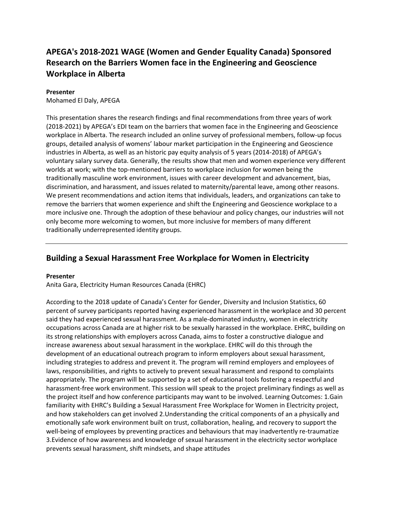# **APEGA's 2018-2021 WAGE (Women and Gender Equality Canada) Sponsored Research on the Barriers Women face in the Engineering and Geoscience Workplace in Alberta**

#### **Presenter**

Mohamed El Daly, APEGA

This presentation shares the research findings and final recommendations from three years of work (2018-2021) by APEGA's EDI team on the barriers that women face in the Engineering and Geoscience workplace in Alberta. The research included an online survey of professional members, follow-up focus groups, detailed analysis of womens' labour market participation in the Engineering and Geoscience industries in Alberta, as well as an historic pay equity analysis of 5 years (2014-2018) of APEGA's voluntary salary survey data. Generally, the results show that men and women experience very different worlds at work; with the top-mentioned barriers to workplace inclusion for women being the traditionally masculine work environment, issues with career development and advancement, bias, discrimination, and harassment, and issues related to maternity/parental leave, among other reasons. We present recommendations and action items that individuals, leaders, and organizations can take to remove the barriers that women experience and shift the Engineering and Geoscience workplace to a more inclusive one. Through the adoption of these behaviour and policy changes, our industries will not only become more welcoming to women, but more inclusive for members of many different traditionally underrepresented identity groups.

### **Building a Sexual Harassment Free Workplace for Women in Electricity**

#### **Presenter**

Anita Gara, Electricity Human Resources Canada (EHRC)

According to the 2018 update of Canada's Center for Gender, Diversity and Inclusion Statistics, 60 percent of survey participants reported having experienced harassment in the workplace and 30 percent said they had experienced sexual harassment. As a male-dominated industry, women in electricity occupations across Canada are at higher risk to be sexually harassed in the workplace. EHRC, building on its strong relationships with employers across Canada, aims to foster a constructive dialogue and increase awareness about sexual harassment in the workplace. EHRC will do this through the development of an educational outreach program to inform employers about sexual harassment, including strategies to address and prevent it. The program will remind employers and employees of laws, responsibilities, and rights to actively to prevent sexual harassment and respond to complaints appropriately. The program will be supported by a set of educational tools fostering a respectful and harassment-free work environment. This session will speak to the project preliminary findings as well as the project itself and how conference participants may want to be involved. Learning Outcomes: 1.Gain familiarity with EHRC's Building a Sexual Harassment Free Workplace for Women in Electricity project, and how stakeholders can get involved 2.Understanding the critical components of an a physically and emotionally safe work environment built on trust, collaboration, healing, and recovery to support the well-being of employees by preventing practices and behaviours that may inadvertently re-traumatize 3.Evidence of how awareness and knowledge of sexual harassment in the electricity sector workplace prevents sexual harassment, shift mindsets, and shape attitudes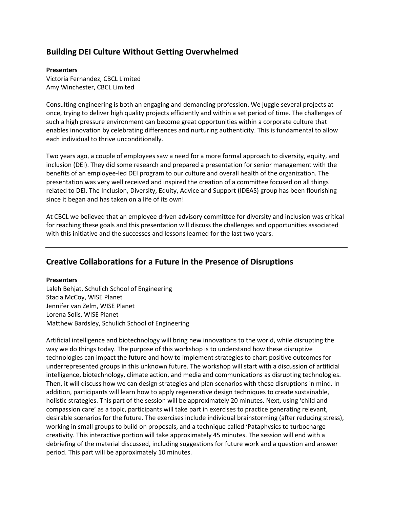### **Building DEI Culture Without Getting Overwhelmed**

### **Presenters**

Victoria Fernandez, CBCL Limited Amy Winchester, CBCL Limited

Consulting engineering is both an engaging and demanding profession. We juggle several projects at once, trying to deliver high quality projects efficiently and within a set period of time. The challenges of such a high pressure environment can become great opportunities within a corporate culture that enables innovation by celebrating differences and nurturing authenticity. This is fundamental to allow each individual to thrive unconditionally.

Two years ago, a couple of employees saw a need for a more formal approach to diversity, equity, and inclusion (DEI). They did some research and prepared a presentation for senior management with the benefits of an employee-led DEI program to our culture and overall health of the organization. The presentation was very well received and inspired the creation of a committee focused on all things related to DEI. The Inclusion, Diversity, Equity, Advice and Support (IDEAS) group has been flourishing since it began and has taken on a life of its own!

At CBCL we believed that an employee driven advisory committee for diversity and inclusion was critical for reaching these goals and this presentation will discuss the challenges and opportunities associated with this initiative and the successes and lessons learned for the last two years.

### **Creative Collaborations for a Future in the Presence of Disruptions**

#### **Presenters**

Laleh Behjat, Schulich School of Engineering Stacia McCoy, WISE Planet Jennifer van Zelm, WISE Planet Lorena Solis, WISE Planet Matthew Bardsley, Schulich School of Engineering

Artificial intelligence and biotechnology will bring new innovations to the world, while disrupting the way we do things today. The purpose of this workshop is to understand how these disruptive technologies can impact the future and how to implement strategies to chart positive outcomes for underrepresented groups in this unknown future. The workshop will start with a discussion of artificial intelligence, biotechnology, climate action, and media and communications as disrupting technologies. Then, it will discuss how we can design strategies and plan scenarios with these disruptions in mind. In addition, participants will learn how to apply regenerative design techniques to create sustainable, holistic strategies. This part of the session will be approximately 20 minutes. Next, using 'child and compassion care' as a topic, participants will take part in exercises to practice generating relevant, desirable scenarios for the future. The exercises include individual brainstorming (after reducing stress), working in small groups to build on proposals, and a technique called 'Pataphysics to turbocharge creativity. This interactive portion will take approximately 45 minutes. The session will end with a debriefing of the material discussed, including suggestions for future work and a question and answer period. This part will be approximately 10 minutes.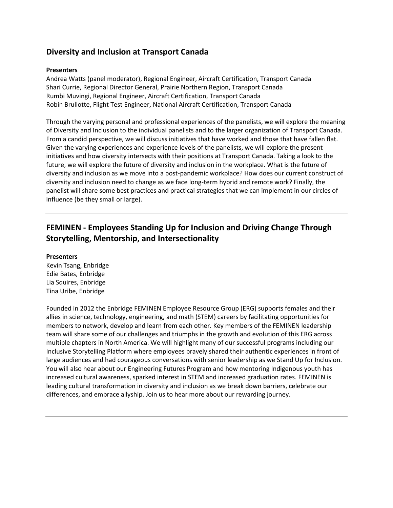### **Diversity and Inclusion at Transport Canada**

### **Presenters**

Andrea Watts (panel moderator), Regional Engineer, Aircraft Certification, Transport Canada Shari Currie, Regional Director General, Prairie Northern Region, Transport Canada Rumbi Muvingi, Regional Engineer, Aircraft Certification, Transport Canada Robin Brullotte, Flight Test Engineer, National Aircraft Certification, Transport Canada

Through the varying personal and professional experiences of the panelists, we will explore the meaning of Diversity and Inclusion to the individual panelists and to the larger organization of Transport Canada. From a candid perspective, we will discuss initiatives that have worked and those that have fallen flat. Given the varying experiences and experience levels of the panelists, we will explore the present initiatives and how diversity intersects with their positions at Transport Canada. Taking a look to the future, we will explore the future of diversity and inclusion in the workplace. What is the future of diversity and inclusion as we move into a post-pandemic workplace? How does our current construct of diversity and inclusion need to change as we face long-term hybrid and remote work? Finally, the panelist will share some best practices and practical strategies that we can implement in our circles of influence (be they small or large).

# **FEMINEN - Employees Standing Up for Inclusion and Driving Change Through Storytelling, Mentorship, and Intersectionality**

#### **Presenters**

Kevin Tsang, Enbridge Edie Bates, Enbridge Lia Squires, Enbridge Tina Uribe, Enbridge

Founded in 2012 the Enbridge FEMINEN Employee Resource Group (ERG) supports females and their allies in science, technology, engineering, and math (STEM) careers by facilitating opportunities for members to network, develop and learn from each other. Key members of the FEMINEN leadership team will share some of our challenges and triumphs in the growth and evolution of this ERG across multiple chapters in North America. We will highlight many of our successful programs including our Inclusive Storytelling Platform where employees bravely shared their authentic experiences in front of large audiences and had courageous conversations with senior leadership as we Stand Up for Inclusion. You will also hear about our Engineering Futures Program and how mentoring Indigenous youth has increased cultural awareness, sparked interest in STEM and increased graduation rates. FEMINEN is leading cultural transformation in diversity and inclusion as we break down barriers, celebrate our differences, and embrace allyship. Join us to hear more about our rewarding journey.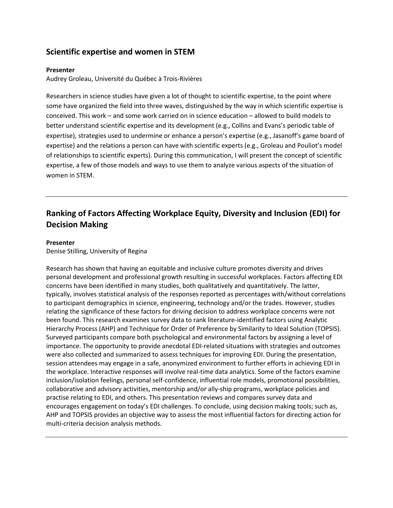### **Scientific expertise and women in STEM**

### **Presenter**

Audrey Groleau, Université du Québec à Trois-Rivières

Researchers in science studies have given a lot of thought to scientific expertise, to the point where some have organized the field into three waves, distinguished by the way in which scientific expertise is conceived. This work – and some work carried on in science education – allowed to build models to better understand scientific expertise and its development (e.g., Collins and Evans's periodic table of expertise), strategies used to undermine or enhance a person's expertise (e.g., Jasanoff's game board of expertise) and the relations a person can have with scientific experts (e.g., Groleau and Pouliot's model of relationships to scientific experts). During this communication, I will present the concept of scientific expertise, a few of those models and ways to use them to analyze various aspects of the situation of women in STEM.

# **Ranking of Factors Affecting Workplace Equity, Diversity and Inclusion (EDI) for Decision Making**

#### **Presenter**

Denise Stilling, University of Regina

Research has shown that having an equitable and inclusive culture promotes diversity and drives personal development and professional growth resulting in successful workplaces. Factors affecting EDI concerns have been identified in many studies, both qualitatively and quantitatively. The latter, typically, involves statistical analysis of the responses reported as percentages with/without correlations to participant demographics in science, engineering, technology and/or the trades. However, studies relating the significance of these factors for driving decision to address workplace concerns were not been found. This research examines survey data to rank literature-identified factors using Analytic Hierarchy Process (AHP) and Technique for Order of Preference by Similarity to Ideal Solution (TOPSIS). Surveyed participants compare both psychological and environmental factors by assigning a level of importance. The opportunity to provide anecdotal EDI-related situations with strategies and outcomes were also collected and summarized to assess techniques for improving EDI. During the presentation, session attendees may engage in a safe, anonymized environment to further efforts in achieving EDI in the workplace. Interactive responses will involve real-time data analytics. Some of the factors examine inclusion/isolation feelings, personal self-confidence, influential role models, promotional possibilities, collaborative and advisory activities, mentorship and/or ally-ship programs, workplace policies and practise relating to EDI, and others. This presentation reviews and compares survey data and encourages engagement on today's EDI challenges. To conclude, using decision making tools; such as, AHP and TOPSIS provides an objective way to assess the most influential factors for directing action for multi-criteria decision analysis methods.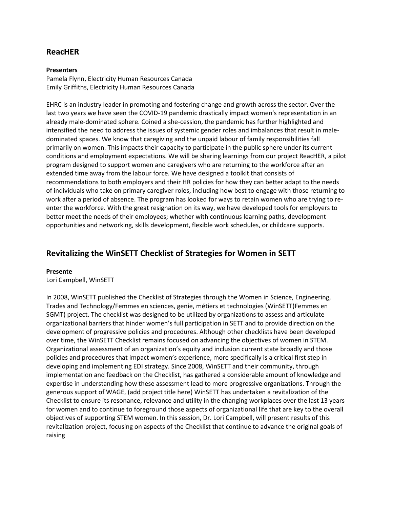### **ReacHER**

### **Presenters**

Pamela Flynn, Electricity Human Resources Canada Emily Griffiths, Electricity Human Resources Canada

EHRC is an industry leader in promoting and fostering change and growth across the sector. Over the last two years we have seen the COVID-19 pandemic drastically impact women's representation in an already male-dominated sphere. Coined a she-cession, the pandemic has further highlighted and intensified the need to address the issues of systemic gender roles and imbalances that result in maledominated spaces. We know that caregiving and the unpaid labour of family responsibilities fall primarily on women. This impacts their capacity to participate in the public sphere under its current conditions and employment expectations. We will be sharing learnings from our project ReacHER, a pilot program designed to support women and caregivers who are returning to the workforce after an extended time away from the labour force. We have designed a toolkit that consists of recommendations to both employers and their HR policies for how they can better adapt to the needs of individuals who take on primary caregiver roles, including how best to engage with those returning to work after a period of absence. The program has looked for ways to retain women who are trying to reenter the workforce. With the great resignation on its way, we have developed tools for employers to better meet the needs of their employees; whether with continuous learning paths, development opportunities and networking, skills development, flexible work schedules, or childcare supports.

### **Revitalizing the WinSETT Checklist of Strategies for Women in SETT**

### **Presente**

Lori Campbell, WinSETT

In 2008, WinSETT published the Checklist of Strategies through the Women in Science, Engineering, Trades and Technology/Femmes en sciences, genie, métiers et technologies (WinSETT)Femmes en SGMT) project. The checklist was designed to be utilized by organizations to assess and articulate organizational barriers that hinder women's full participation in SETT and to provide direction on the development of progressive policies and procedures. Although other checklists have been developed over time, the WinSETT Checklist remains focused on advancing the objectives of women in STEM. Organizational assessment of an organization's equity and inclusion current state broadly and those policies and procedures that impact women's experience, more specifically is a critical first step in developing and implementing EDI strategy. Since 2008, WinSETT and their community, through implementation and feedback on the Checklist, has gathered a considerable amount of knowledge and expertise in understanding how these assessment lead to more progressive organizations. Through the generous support of WAGE, (add project title here) WinSETT has undertaken a revitalization of the Checklist to ensure its resonance, relevance and utility in the changing workplaces over the last 13 years for women and to continue to foreground those aspects of organizational life that are key to the overall objectives of supporting STEM women. In this session, Dr. Lori Campbell, will present results of this revitalization project, focusing on aspects of the Checklist that continue to advance the original goals of raising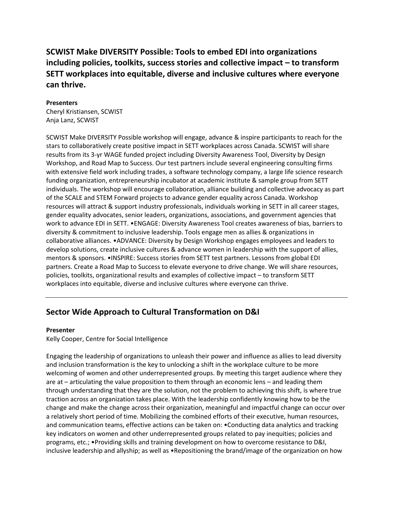**SCWIST Make DIVERSITY Possible: Tools to embed EDI into organizations including policies, toolkits, success stories and collective impact – to transform SETT workplaces into equitable, diverse and inclusive cultures where everyone can thrive.**

#### **Presenters**

Cheryl Kristiansen, SCWIST Anja Lanz, SCWIST

SCWIST Make DIVERSITY Possible workshop will engage, advance & inspire participants to reach for the stars to collaboratively create positive impact in SETT workplaces across Canada. SCWIST will share results from its 3-yr WAGE funded project including Diversity Awareness Tool, Diversity by Design Workshop, and Road Map to Success. Our test partners include several engineering consulting firms with extensive field work including trades, a software technology company, a large life science research funding organization, entrepreneurship incubator at academic institute & sample group from SETT individuals. The workshop will encourage collaboration, alliance building and collective advocacy as part of the SCALE and STEM Forward projects to advance gender equality across Canada. Workshop resources will attract & support industry professionals, individuals working in SETT in all career stages, gender equality advocates, senior leaders, organizations, associations, and government agencies that work to advance EDI in SETT. •ENGAGE: Diversity Awareness Tool creates awareness of bias, barriers to diversity & commitment to inclusive leadership. Tools engage men as allies & organizations in collaborative alliances. •ADVANCE: Diversity by Design Workshop engages employees and leaders to develop solutions, create inclusive cultures & advance women in leadership with the support of allies, mentors & sponsors. •INSPIRE: Success stories from SETT test partners. Lessons from global EDI partners. Create a Road Map to Success to elevate everyone to drive change. We will share resources, policies, toolkits, organizational results and examples of collective impact – to transform SETT workplaces into equitable, diverse and inclusive cultures where everyone can thrive.

### **Sector Wide Approach to Cultural Transformation on D&I**

#### **Presenter**

Kelly Cooper, Centre for Social Intelligence

Engaging the leadership of organizations to unleash their power and influence as allies to lead diversity and inclusion transformation is the key to unlocking a shift in the workplace culture to be more welcoming of women and other underrepresented groups. By meeting this target audience where they are at – articulating the value proposition to them through an economic lens – and leading them through understanding that they are the solution, not the problem to achieving this shift, is where true traction across an organization takes place. With the leadership confidently knowing how to be the change and make the change across their organization, meaningful and impactful change can occur over a relatively short period of time. Mobilizing the combined efforts of their executive, human resources, and communication teams, effective actions can be taken on: •Conducting data analytics and tracking key indicators on women and other underrepresented groups related to pay inequities; policies and programs, etc.; •Providing skills and training development on how to overcome resistance to D&I, inclusive leadership and allyship; as well as •Repositioning the brand/image of the organization on how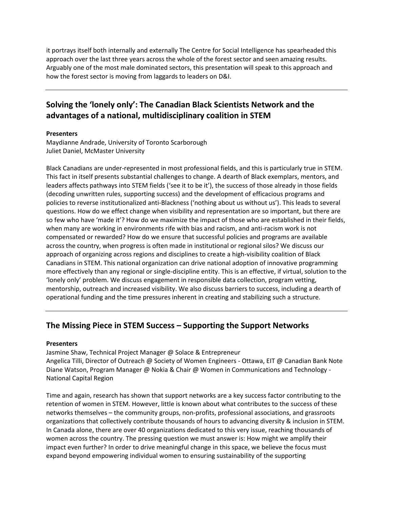it portrays itself both internally and externally The Centre for Social Intelligence has spearheaded this approach over the last three years across the whole of the forest sector and seen amazing results. Arguably one of the most male dominated sectors, this presentation will speak to this approach and how the forest sector is moving from laggards to leaders on D&I.

# **Solving the 'lonely only': The Canadian Black Scientists Network and the advantages of a national, multidisciplinary coalition in STEM**

### **Presenters**

Maydianne Andrade, University of Toronto Scarborough Juliet Daniel, McMaster University

Black Canadians are under-represented in most professional fields, and this is particularly true in STEM. This fact in itself presents substantial challenges to change. A dearth of Black exemplars, mentors, and leaders affects pathways into STEM fields ('see it to be it'), the success of those already in those fields (decoding unwritten rules, supporting success) and the development of efficacious programs and policies to reverse institutionalized anti-Blackness ('nothing about us without us'). This leads to several questions. How do we effect change when visibility and representation are so important, but there are so few who have 'made it'? How do we maximize the impact of those who are established in their fields, when many are working in environments rife with bias and racism, and anti-racism work is not compensated or rewarded? How do we ensure that successful policies and programs are available across the country, when progress is often made in institutional or regional silos? We discuss our approach of organizing across regions and disciplines to create a high-visibility coalition of Black Canadians in STEM. This national organization can drive national adoption of innovative programming more effectively than any regional or single-discipline entity. This is an effective, if virtual, solution to the 'lonely only' problem. We discuss engagement in responsible data collection, program vetting, mentorship, outreach and increased visibility. We also discuss barriers to success, including a dearth of operational funding and the time pressures inherent in creating and stabilizing such a structure.

### **The Missing Piece in STEM Success – Supporting the Support Networks**

#### **Presenters**

Jasmine Shaw, Technical Project Manager @ Solace & Entrepreneur

Angelica Tilli, Director of Outreach @ Society of Women Engineers - Ottawa, EIT @ Canadian Bank Note Diane Watson, Program Manager @ Nokia & Chair @ Women in Communications and Technology - National Capital Region

Time and again, research has shown that support networks are a key success factor contributing to the retention of women in STEM. However, little is known about what contributes to the success of these networks themselves – the community groups, non-profits, professional associations, and grassroots organizations that collectively contribute thousands of hours to advancing diversity & inclusion in STEM. In Canada alone, there are over 40 organizations dedicated to this very issue, reaching thousands of women across the country. The pressing question we must answer is: How might we amplify their impact even further? In order to drive meaningful change in this space, we believe the focus must expand beyond empowering individual women to ensuring sustainability of the supporting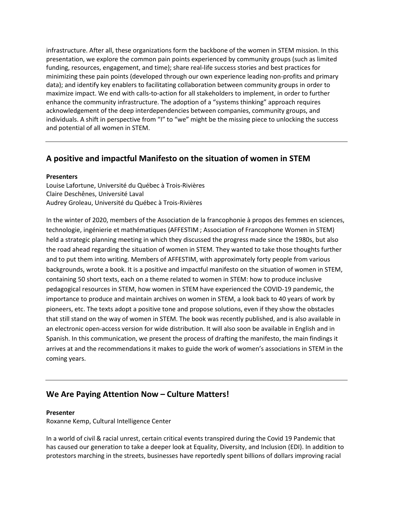infrastructure. After all, these organizations form the backbone of the women in STEM mission. In this presentation, we explore the common pain points experienced by community groups (such as limited funding, resources, engagement, and time); share real-life success stories and best practices for minimizing these pain points (developed through our own experience leading non-profits and primary data); and identify key enablers to facilitating collaboration between community groups in order to maximize impact. We end with calls-to-action for all stakeholders to implement, in order to further enhance the community infrastructure. The adoption of a "systems thinking" approach requires acknowledgement of the deep interdependencies between companies, community groups, and individuals. A shift in perspective from "I" to "we" might be the missing piece to unlocking the success and potential of all women in STEM.

### **A positive and impactful Manifesto on the situation of women in STEM**

#### **Presenters**

Louise Lafortune, Université du Québec à Trois-Rivières Claire Deschênes, Université Laval Audrey Groleau, Université du Québec à Trois-Rivières

In the winter of 2020, members of the Association de la francophonie à propos des femmes en sciences, technologie, ingénierie et mathématiques (AFFESTIM ; Association of Francophone Women in STEM) held a strategic planning meeting in which they discussed the progress made since the 1980s, but also the road ahead regarding the situation of women in STEM. They wanted to take those thoughts further and to put them into writing. Members of AFFESTIM, with approximately forty people from various backgrounds, wrote a book. It is a positive and impactful manifesto on the situation of women in STEM, containing 50 short texts, each on a theme related to women in STEM: how to produce inclusive pedagogical resources in STEM, how women in STEM have experienced the COVID-19 pandemic, the importance to produce and maintain archives on women in STEM, a look back to 40 years of work by pioneers, etc. The texts adopt a positive tone and propose solutions, even if they show the obstacles that still stand on the way of women in STEM. The book was recently published, and is also available in an electronic open-access version for wide distribution. It will also soon be available in English and in Spanish. In this communication, we present the process of drafting the manifesto, the main findings it arrives at and the recommendations it makes to guide the work of women's associations in STEM in the coming years.

### **We Are Paying Attention Now – Culture Matters!**

#### **Presenter**

Roxanne Kemp, Cultural Intelligence Center

In a world of civil & racial unrest, certain critical events transpired during the Covid 19 Pandemic that has caused our generation to take a deeper look at Equality, Diversity, and Inclusion (EDI). In addition to protestors marching in the streets, businesses have reportedly spent billions of dollars improving racial